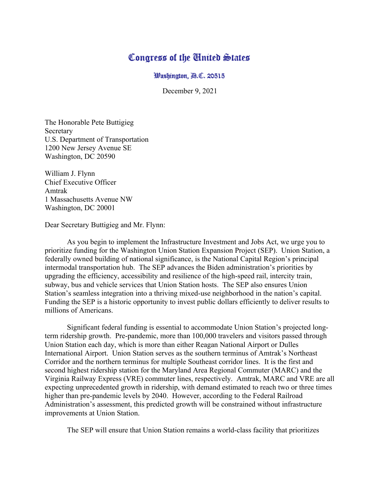## Congress of the Cinited States

Washington, A.C. 20515

December 9, 2021

The Honorable Pete Buttigieg Secretary U.S. Department of Transportation 1200 New Jersey Avenue SE Washington, DC 20590

William J. Flynn Chief Executive Officer Amtrak 1 Massachusetts Avenue NW Washington, DC 20001

Dear Secretary Buttigieg and Mr. Flynn:

As you begin to implement the Infrastructure Investment and Jobs Act, we urge you to prioritize funding for the Washington Union Station Expansion Project (SEP). Union Station, a federally owned building of national significance, is the National Capital Region's principal intermodal transportation hub. The SEP advances the Biden administration's priorities by upgrading the efficiency, accessibility and resilience of the high-speed rail, intercity train, subway, bus and vehicle services that Union Station hosts. The SEP also ensures Union Station's seamless integration into a thriving mixed-use neighborhood in the nation's capital. Funding the SEP is a historic opportunity to invest public dollars efficiently to deliver results to millions of Americans.

Significant federal funding is essential to accommodate Union Station's projected longterm ridership growth. Pre-pandemic, more than 100,000 travelers and visitors passed through Union Station each day, which is more than either Reagan National Airport or Dulles International Airport. Union Station serves as the southern terminus of Amtrak's Northeast Corridor and the northern terminus for multiple Southeast corridor lines. It is the first and second highest ridership station for the Maryland Area Regional Commuter (MARC) and the Virginia Railway Express (VRE) commuter lines, respectively. Amtrak, MARC and VRE are all expecting unprecedented growth in ridership, with demand estimated to reach two or three times higher than pre-pandemic levels by 2040. However, according to the Federal Railroad Administration's assessment, this predicted growth will be constrained without infrastructure improvements at Union Station.

The SEP will ensure that Union Station remains a world-class facility that prioritizes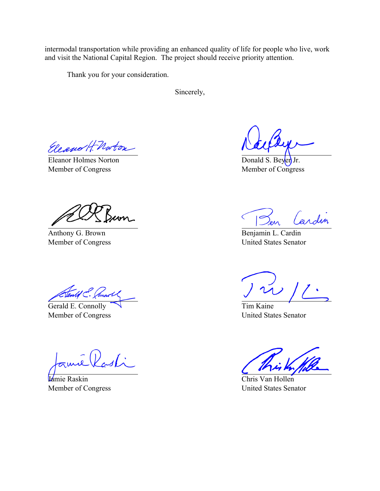intermodal transportation while providing an enhanced quality of life for people who live, work and visit the National Capital Region. The project should receive priority attention.

Thank you for your consideration.

Sincerely,

Eleano H Norton

Eleanor Holmes Norton Member of Congress

Anthony G. Brown Member of Congress

Stendil C. Cannot

Gerald E. Connolly Member of Congress

 $\widehat{L}(\mathcal{V}_{\mathcal{M}})$ 

Jamie Raskin Member of Congress

Donald S. Beyen Jr. Member of Congress

Cardin

Benjamin L. Cardin United States Senator

7 ) I

Tim Kaine United States Senator

Chris Van Hollen United States Senator